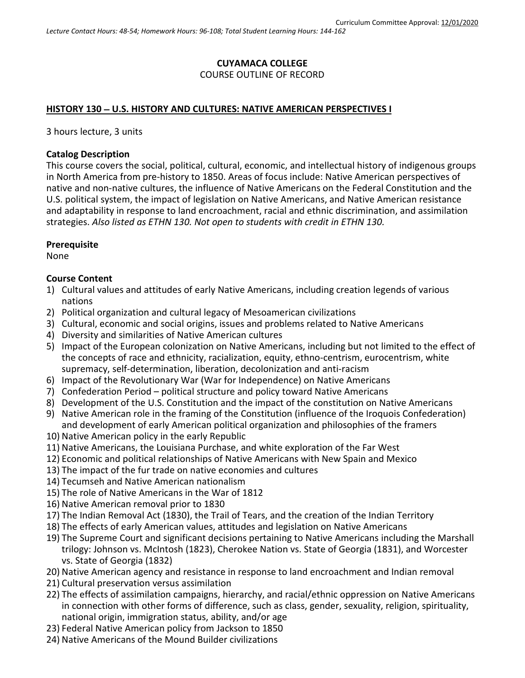# **CUYAMACA COLLEGE** COURSE OUTLINE OF RECORD

## **HISTORY 130** − **U.S. HISTORY AND CULTURES: NATIVE AMERICAN PERSPECTIVES I**

3 hours lecture, 3 units

#### **Catalog Description**

This course covers the social, political, cultural, economic, and intellectual history of indigenous groups in North America from pre-history to 1850. Areas of focus include: Native American perspectives of native and non-native cultures, the influence of Native Americans on the Federal Constitution and the U.S. political system, the impact of legislation on Native Americans, and Native American resistance and adaptability in response to land encroachment, racial and ethnic discrimination, and assimilation strategies. *Also listed as ETHN 130. Not open to students with credit in ETHN 130.*

#### **Prerequisite**

None

#### **Course Content**

- 1) Cultural values and attitudes of early Native Americans, including creation legends of various nations
- 2) Political organization and cultural legacy of Mesoamerican civilizations
- 3) Cultural, economic and social origins, issues and problems related to Native Americans
- 4) Diversity and similarities of Native American cultures
- 5) Impact of the European colonization on Native Americans, including but not limited to the effect of the concepts of race and ethnicity, racialization, equity, ethno-centrism, eurocentrism, white supremacy, self-determination, liberation, decolonization and anti-racism
- 6) Impact of the Revolutionary War (War for Independence) on Native Americans
- 7) Confederation Period political structure and policy toward Native Americans
- 8) Development of the U.S. Constitution and the impact of the constitution on Native Americans
- 9) Native American role in the framing of the Constitution (influence of the Iroquois Confederation) and development of early American political organization and philosophies of the framers
- 10) Native American policy in the early Republic
- 11) Native Americans, the Louisiana Purchase, and white exploration of the Far West
- 12) Economic and political relationships of Native Americans with New Spain and Mexico
- 13) The impact of the fur trade on native economies and cultures
- 14) Tecumseh and Native American nationalism
- 15) The role of Native Americans in the War of 1812
- 16) Native American removal prior to 1830
- 17) The Indian Removal Act (1830), the Trail of Tears, and the creation of the Indian Territory
- 18) The effects of early American values, attitudes and legislation on Native Americans
- 19) The Supreme Court and significant decisions pertaining to Native Americans including the Marshall trilogy: Johnson vs. McIntosh (1823), Cherokee Nation vs. State of Georgia (1831), and Worcester vs. State of Georgia (1832)
- 20) Native American agency and resistance in response to land encroachment and Indian removal
- 21) Cultural preservation versus assimilation
- 22) The effects of assimilation campaigns, hierarchy, and racial/ethnic oppression on Native Americans in connection with other forms of difference, such as class, gender, sexuality, religion, spirituality, national origin, immigration status, ability, and/or age
- 23) Federal Native American policy from Jackson to 1850
- 24) Native Americans of the Mound Builder civilizations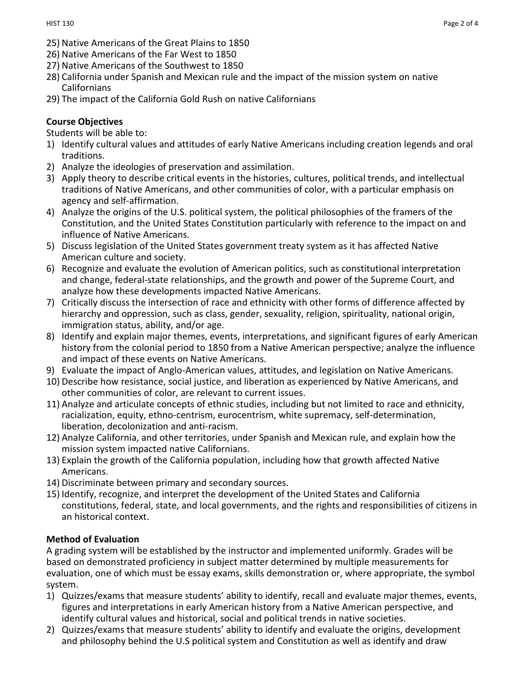- 25) Native Americans of the Great Plains to 1850
- 26) Native Americans of the Far West to 1850
- 27) Native Americans of the Southwest to 1850
- 28) California under Spanish and Mexican rule and the impact of the mission system on native Californians
- 29) The impact of the California Gold Rush on native Californians

# **Course Objectives**

Students will be able to:

- 1) Identify cultural values and attitudes of early Native Americans including creation legends and oral traditions.
- 2) Analyze the ideologies of preservation and assimilation.
- 3) Apply theory to describe critical events in the histories, cultures, political trends, and intellectual traditions of Native Americans, and other communities of color, with a particular emphasis on agency and self-affirmation.
- 4) Analyze the origins of the U.S. political system, the political philosophies of the framers of the Constitution, and the United States Constitution particularly with reference to the impact on and influence of Native Americans.
- 5) Discuss legislation of the United States government treaty system as it has affected Native American culture and society.
- 6) Recognize and evaluate the evolution of American politics, such as constitutional interpretation and change, federal-state relationships, and the growth and power of the Supreme Court, and analyze how these developments impacted Native Americans.
- 7) Critically discuss the intersection of race and ethnicity with other forms of difference affected by hierarchy and oppression, such as class, gender, sexuality, religion, spirituality, national origin, immigration status, ability, and/or age.
- 8) Identify and explain major themes, events, interpretations, and significant figures of early American history from the colonial period to 1850 from a Native American perspective; analyze the influence and impact of these events on Native Americans.
- 9) Evaluate the impact of Anglo-American values, attitudes, and legislation on Native Americans.
- 10) Describe how resistance, social justice, and liberation as experienced by Native Americans, and other communities of color, are relevant to current issues.
- 11) Analyze and articulate concepts of ethnic studies, including but not limited to race and ethnicity, racialization, equity, ethno-centrism, eurocentrism, white supremacy, self-determination, liberation, decolonization and anti-racism.
- 12) Analyze California, and other territories, under Spanish and Mexican rule, and explain how the mission system impacted native Californians.
- 13) Explain the growth of the California population, including how that growth affected Native Americans.
- 14) Discriminate between primary and secondary sources.
- 15) Identify, recognize, and interpret the development of the United States and California constitutions, federal, state, and local governments, and the rights and responsibilities of citizens in an historical context.

## **Method of Evaluation**

A grading system will be established by the instructor and implemented uniformly. Grades will be based on demonstrated proficiency in subject matter determined by multiple measurements for evaluation, one of which must be essay exams, skills demonstration or, where appropriate, the symbol system.

- 1) Quizzes/exams that measure students' ability to identify, recall and evaluate major themes, events, figures and interpretations in early American history from a Native American perspective, and identify cultural values and historical, social and political trends in native societies.
- 2) Quizzes/exams that measure students' ability to identify and evaluate the origins, development and philosophy behind the U.S political system and Constitution as well as identify and draw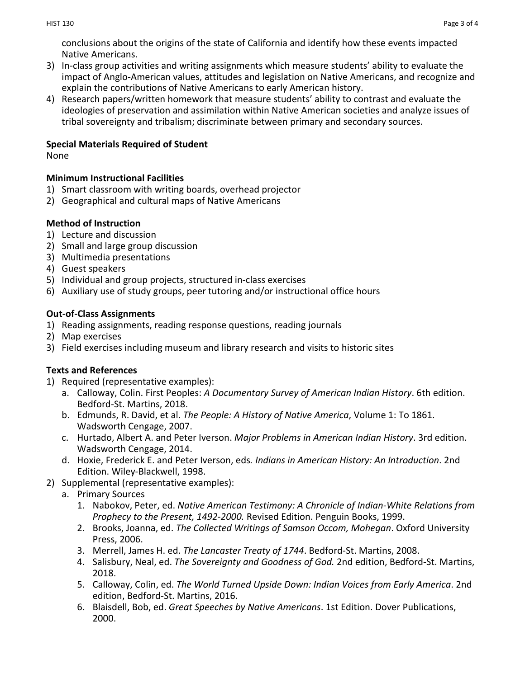conclusions about the origins of the state of California and identify how these events impacted Native Americans.

- 3) In-class group activities and writing assignments which measure students' ability to evaluate the impact of Anglo-American values, attitudes and legislation on Native Americans, and recognize and explain the contributions of Native Americans to early American history.
- 4) Research papers/written homework that measure students' ability to contrast and evaluate the ideologies of preservation and assimilation within Native American societies and analyze issues of tribal sovereignty and tribalism; discriminate between primary and secondary sources.

## **Special Materials Required of Student**

None

## **Minimum Instructional Facilities**

- 1) Smart classroom with writing boards, overhead projector
- 2) Geographical and cultural maps of Native Americans

## **Method of Instruction**

- 1) Lecture and discussion
- 2) Small and large group discussion
- 3) Multimedia presentations
- 4) Guest speakers
- 5) Individual and group projects, structured in-class exercises
- 6) Auxiliary use of study groups, peer tutoring and/or instructional office hours

## **Out-of-Class Assignments**

- 1) Reading assignments, reading response questions, reading journals
- 2) Map exercises
- 3) Field exercises including museum and library research and visits to historic sites

#### **Texts and References**

- 1) Required (representative examples):
	- a. Calloway, Colin. First Peoples: *A Documentary Survey of American Indian History*. 6th edition. Bedford-St. Martins, 2018.
	- b. Edmunds, R. David, et al. *The People: A History of Native America*, Volume 1: To 1861. Wadsworth Cengage, 2007.
	- c. Hurtado, Albert A. and Peter Iverson. *Major Problems in American Indian History*. 3rd edition. Wadsworth Cengage, 2014.
	- d. Hoxie, Frederick E. and Peter Iverson, eds*. Indians in American History: An Introduction*. 2nd Edition. Wiley-Blackwell, 1998.
- 2) Supplemental (representative examples):
	- a. Primary Sources
		- 1. Nabokov, Peter, ed. *Native American Testimony: A Chronicle of Indian-White Relations from Prophecy to the Present, 1492-2000.* Revised Edition. Penguin Books, 1999.
		- 2. Brooks, Joanna, ed. *The Collected Writings of Samson Occom, Mohegan*. Oxford University Press, 2006.
		- 3. Merrell, James H. ed. *The Lancaster Treaty of 1744*. Bedford-St. Martins, 2008.
		- 4. Salisbury, Neal, ed. *The Sovereignty and Goodness of God.* 2nd edition, Bedford-St. Martins, 2018.
		- 5. Calloway, Colin, ed. *The World Turned Upside Down: Indian Voices from Early America*. 2nd edition, Bedford-St. Martins, 2016.
		- 6. Blaisdell, Bob, ed. *Great Speeches by Native Americans*. 1st Edition. Dover Publications, 2000.